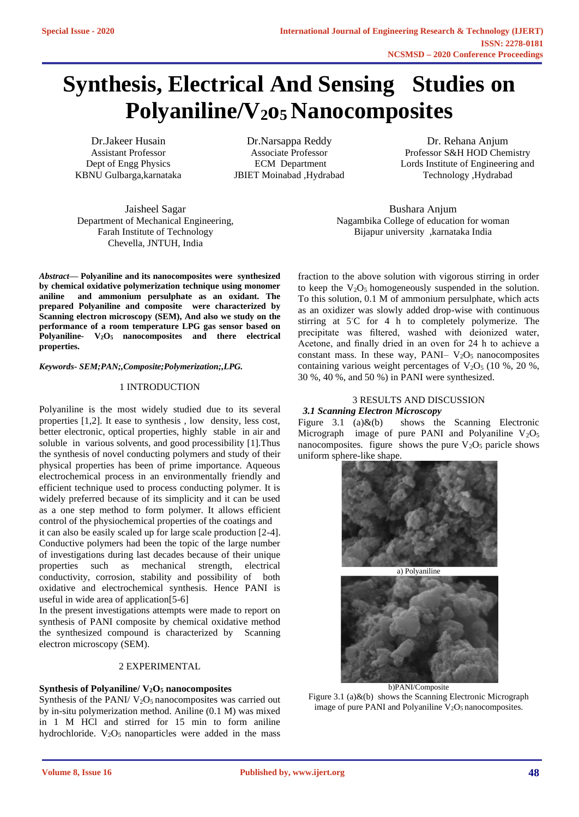# **Synthesis, Electrical And Sensing Studies on Polyaniline/V2o5 Nanocomposites**

Dr.Jakeer Husain Assistant Professor Dept of Engg Physics KBNU Gulbarga,karnataka

Dr.Narsappa Reddy Associate Professor ECM Department JBIET Moinabad ,Hydrabad

Dr. Rehana Anjum Professor S&H HOD Chemistry Lords Institute of Engineering and Technology ,Hydrabad

Jaisheel Sagar Department of Mechanical Engineering, Farah Institute of Technology Chevella, JNTUH, India

*Abstract***— Polyaniline and its nanocomposites were synthesized by chemical oxidative polymerization technique using monomer aniline and ammonium persulphate as an oxidant. The prepared Polyaniline and composite were characterized by Scanning electron microscopy (SEM), And also we study on the performance of a room temperature LPG gas sensor based on Polyaniline- V2O5 nanocomposites and there electrical properties.**

*Keywords***-** *SEM;PAN;,Composite;Polymerization;,LPG.*

## 1 INTRODUCTION

Polyaniline is the most widely studied due to its several properties [1,2]. It ease to synthesis , low density, less cost, better electronic, optical properties, highly stable in air and soluble in various solvents, and good processibility [1].Thus the synthesis of novel conducting polymers and study of their physical properties has been of prime importance. Aqueous electrochemical process in an environmentally friendly and efficient technique used to process conducting polymer. It is widely preferred because of its simplicity and it can be used as a one step method to form polymer. It allows efficient control of the physiochemical properties of the coatings and

it can also be easily scaled up for large scale production [2-4]. Conductive polymers had been the topic of the large number of investigations during last decades because of their unique properties such as mechanical strength, electrical conductivity, corrosion, stability and possibility of both oxidative and electrochemical synthesis. Hence PANI is useful in wide area of application[5-6]

In the present investigations attempts were made to report on synthesis of PANI composite by chemical oxidative method the synthesized compound is characterized by Scanning electron microscopy (SEM).

## 2 EXPERIMENTAL

### **Synthesis of Polyaniline/ V2O<sup>5</sup> nanocomposites**

Synthesis of the PANI/  $V_2O_5$  nanocomposites was carried out by in-situ polymerization method. Aniline (0.1 M) was mixed in 1 M HCl and stirred for 15 min to form aniline hydrochloride.  $V_2O_5$  nanoparticles were added in the mass

Bushara Anjum Nagambika College of education for woman Bijapur university ,karnataka India

fraction to the above solution with vigorous stirring in order to keep the  $V_2O_5$  homogeneously suspended in the solution. To this solution, 0.1 M of ammonium persulphate, which acts as an oxidizer was slowly added drop-wise with continuous stirring at 5◦C for 4 h to completely polymerize. The precipitate was filtered, washed with deionized water, Acetone, and finally dried in an oven for 24 h to achieve a constant mass. In these way, PANI–  $V<sub>2</sub>O<sub>5</sub>$  nanocomposites containing various weight percentages of  $V_2O_5$  (10 %, 20 %, 30 %, 40 %, and 50 %) in PANI were synthesized.

## 3 RESULTS AND DISCUSSION

## *3.1 Scanning Electron Microscopy*

Figure 3.1 (a) $\&$ (b) shows the Scanning Electronic Micrograph image of pure PANI and Polyaniline  $V_2O_5$ nanocomposites. figure shows the pure  $V_2O_5$  paricle shows uniform sphere-like shape.



a) Polyaniline